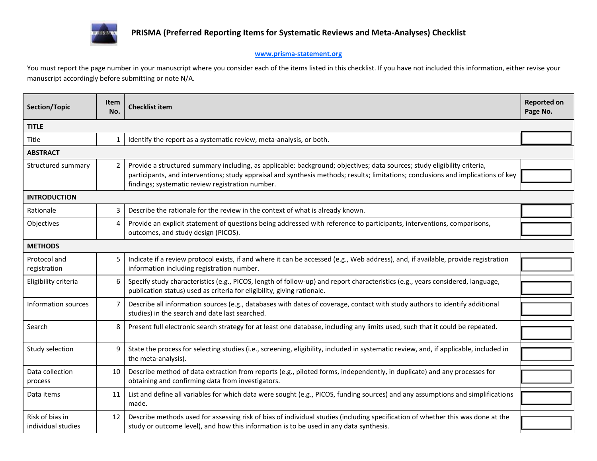

## **www.prisma-statement.org**

You must report the page number in your manuscript where you consider each of the items listed in this checklist. If you have not included this information, either revise your manuscript accordingly before submitting or note N/A.

| Section/Topic                         | Item<br>No.  | <b>Checklist item</b>                                                                                                                                                                                                                                                                                             | <b>Reported on</b><br>Page No. |  |  |  |
|---------------------------------------|--------------|-------------------------------------------------------------------------------------------------------------------------------------------------------------------------------------------------------------------------------------------------------------------------------------------------------------------|--------------------------------|--|--|--|
| <b>TITLE</b>                          |              |                                                                                                                                                                                                                                                                                                                   |                                |  |  |  |
| Title                                 | $\mathbf{1}$ | Identify the report as a systematic review, meta-analysis, or both.                                                                                                                                                                                                                                               |                                |  |  |  |
| <b>ABSTRACT</b>                       |              |                                                                                                                                                                                                                                                                                                                   |                                |  |  |  |
| Structured summary                    | $2^{\circ}$  | Provide a structured summary including, as applicable: background; objectives; data sources; study eligibility criteria,<br>participants, and interventions; study appraisal and synthesis methods; results; limitations; conclusions and implications of key<br>findings; systematic review registration number. |                                |  |  |  |
| <b>INTRODUCTION</b>                   |              |                                                                                                                                                                                                                                                                                                                   |                                |  |  |  |
| Rationale                             | 3            | Describe the rationale for the review in the context of what is already known.                                                                                                                                                                                                                                    |                                |  |  |  |
| Objectives                            | 4            | Provide an explicit statement of questions being addressed with reference to participants, interventions, comparisons,<br>outcomes, and study design (PICOS).                                                                                                                                                     |                                |  |  |  |
| <b>METHODS</b>                        |              |                                                                                                                                                                                                                                                                                                                   |                                |  |  |  |
| Protocol and<br>registration          | 5            | Indicate if a review protocol exists, if and where it can be accessed (e.g., Web address), and, if available, provide registration<br>information including registration number.                                                                                                                                  |                                |  |  |  |
| Eligibility criteria                  | 6            | Specify study characteristics (e.g., PICOS, length of follow-up) and report characteristics (e.g., years considered, language,<br>publication status) used as criteria for eligibility, giving rationale.                                                                                                         |                                |  |  |  |
| Information sources                   | 7            | Describe all information sources (e.g., databases with dates of coverage, contact with study authors to identify additional<br>studies) in the search and date last searched.                                                                                                                                     |                                |  |  |  |
| Search                                | 8            | Present full electronic search strategy for at least one database, including any limits used, such that it could be repeated.                                                                                                                                                                                     |                                |  |  |  |
| Study selection                       | 9            | State the process for selecting studies (i.e., screening, eligibility, included in systematic review, and, if applicable, included in<br>the meta-analysis).                                                                                                                                                      |                                |  |  |  |
| Data collection<br>process            | 10           | Describe method of data extraction from reports (e.g., piloted forms, independently, in duplicate) and any processes for<br>obtaining and confirming data from investigators.                                                                                                                                     |                                |  |  |  |
| Data items                            | 11           | List and define all variables for which data were sought (e.g., PICOS, funding sources) and any assumptions and simplifications<br>made.                                                                                                                                                                          |                                |  |  |  |
| Risk of bias in<br>individual studies | 12           | Describe methods used for assessing risk of bias of individual studies (including specification of whether this was done at the<br>study or outcome level), and how this information is to be used in any data synthesis.                                                                                         |                                |  |  |  |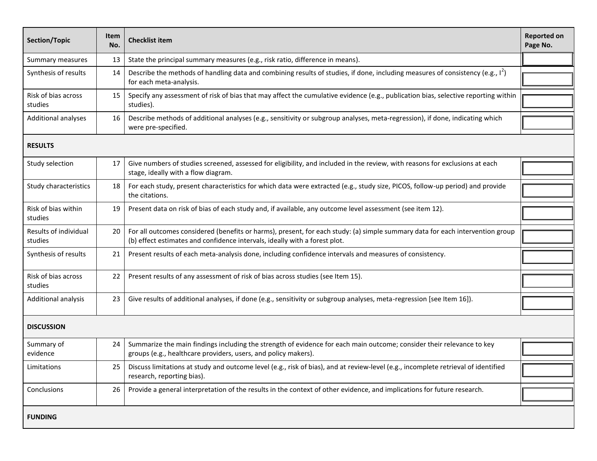| Section/Topic                    | Item<br>No. | <b>Checklist item</b>                                                                                                                                                                                       | <b>Reported on</b><br>Page No. |  |  |  |
|----------------------------------|-------------|-------------------------------------------------------------------------------------------------------------------------------------------------------------------------------------------------------------|--------------------------------|--|--|--|
| Summary measures                 | 13          | State the principal summary measures (e.g., risk ratio, difference in means).                                                                                                                               |                                |  |  |  |
| Synthesis of results             | 14          | Describe the methods of handling data and combining results of studies, if done, including measures of consistency (e.g., 1 <sup>2</sup> )<br>for each meta-analysis.                                       |                                |  |  |  |
| Risk of bias across<br>studies   | 15          | Specify any assessment of risk of bias that may affect the cumulative evidence (e.g., publication bias, selective reporting within<br>studies).                                                             |                                |  |  |  |
| Additional analyses              | 16          | Describe methods of additional analyses (e.g., sensitivity or subgroup analyses, meta-regression), if done, indicating which<br>were pre-specified.                                                         |                                |  |  |  |
| <b>RESULTS</b>                   |             |                                                                                                                                                                                                             |                                |  |  |  |
| Study selection                  | 17          | Give numbers of studies screened, assessed for eligibility, and included in the review, with reasons for exclusions at each<br>stage, ideally with a flow diagram.                                          |                                |  |  |  |
| Study characteristics            | 18          | For each study, present characteristics for which data were extracted (e.g., study size, PICOS, follow-up period) and provide<br>the citations.                                                             |                                |  |  |  |
| Risk of bias within<br>studies   | 19          | Present data on risk of bias of each study and, if available, any outcome level assessment (see item 12).                                                                                                   |                                |  |  |  |
| Results of individual<br>studies | 20          | For all outcomes considered (benefits or harms), present, for each study: (a) simple summary data for each intervention group<br>(b) effect estimates and confidence intervals, ideally with a forest plot. |                                |  |  |  |
| Synthesis of results             | 21          | Present results of each meta-analysis done, including confidence intervals and measures of consistency.                                                                                                     |                                |  |  |  |
| Risk of bias across<br>studies   | 22          | Present results of any assessment of risk of bias across studies (see Item 15).                                                                                                                             |                                |  |  |  |
| Additional analysis              | 23          | Give results of additional analyses, if done (e.g., sensitivity or subgroup analyses, meta-regression [see Item 16]).                                                                                       |                                |  |  |  |
| <b>DISCUSSION</b>                |             |                                                                                                                                                                                                             |                                |  |  |  |
| Summary of<br>evidence           | 24          | Summarize the main findings including the strength of evidence for each main outcome; consider their relevance to key<br>groups (e.g., healthcare providers, users, and policy makers).                     |                                |  |  |  |
| Limitations                      | 25          | Discuss limitations at study and outcome level (e.g., risk of bias), and at review-level (e.g., incomplete retrieval of identified<br>research, reporting bias).                                            |                                |  |  |  |
| Conclusions                      | 26          | Provide a general interpretation of the results in the context of other evidence, and implications for future research.                                                                                     |                                |  |  |  |
| <b>FUNDING</b>                   |             |                                                                                                                                                                                                             |                                |  |  |  |